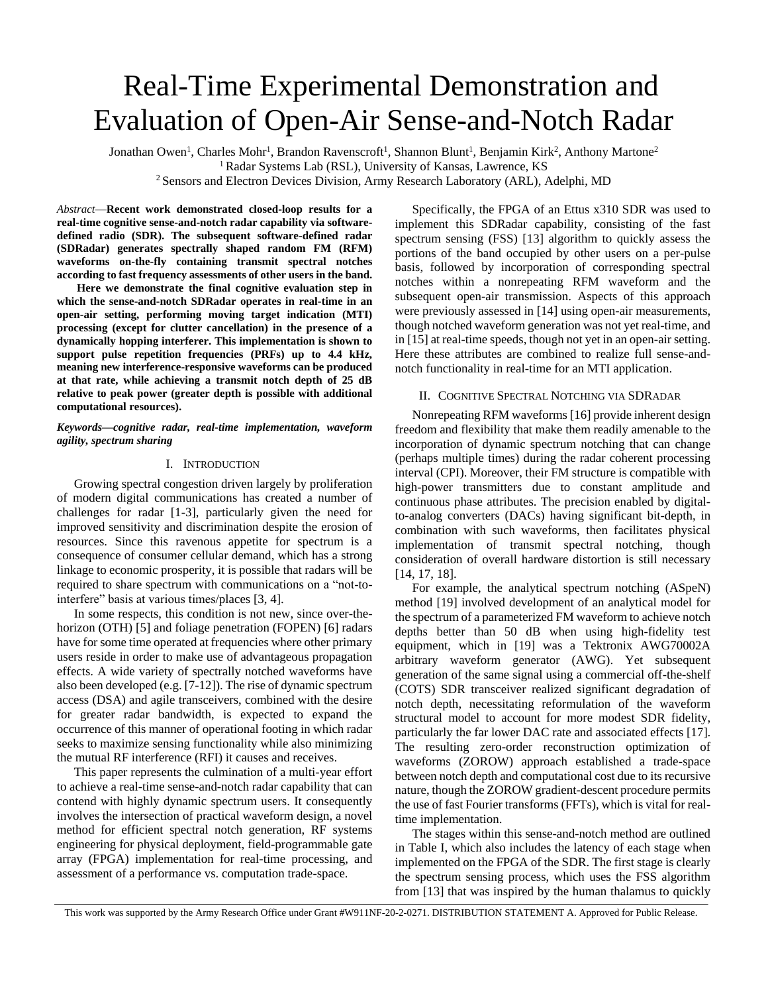# Real-Time Experimental Demonstration and Evaluation of Open-Air Sense-and-Notch Radar

Jonathan Owen<sup>1</sup>, Charles Mohr<sup>1</sup>, Brandon Ravenscroft<sup>1</sup>, Shannon Blunt<sup>1</sup>, Benjamin Kirk<sup>2</sup>, Anthony Martone<sup>2</sup> <sup>1</sup> Radar Systems Lab (RSL), University of Kansas, Lawrence, KS

<sup>2</sup> Sensors and Electron Devices Division, Army Research Laboratory (ARL), Adelphi, MD

*Abstract*—**Recent work demonstrated closed-loop results for a real-time cognitive sense-and-notch radar capability via softwaredefined radio (SDR). The subsequent software-defined radar (SDRadar) generates spectrally shaped random FM (RFM) waveforms on-the-fly containing transmit spectral notches according to fast frequency assessments of other users in the band.**

**Here we demonstrate the final cognitive evaluation step in which the sense-and-notch SDRadar operates in real-time in an open-air setting, performing moving target indication (MTI) processing (except for clutter cancellation) in the presence of a dynamically hopping interferer. This implementation is shown to support pulse repetition frequencies (PRFs) up to 4.4 kHz, meaning new interference-responsive waveforms can be produced at that rate, while achieving a transmit notch depth of 25 dB relative to peak power (greater depth is possible with additional computational resources).** 

## *Keywords—cognitive radar, real-time implementation, waveform agility, spectrum sharing*

## I. INTRODUCTION

Growing spectral congestion driven largely by proliferation of modern digital communications has created a number of challenges for radar [1-3], particularly given the need for improved sensitivity and discrimination despite the erosion of resources. Since this ravenous appetite for spectrum is a consequence of consumer cellular demand, which has a strong linkage to economic prosperity, it is possible that radars will be required to share spectrum with communications on a "not-tointerfere" basis at various times/places [3, 4].

In some respects, this condition is not new, since over-thehorizon (OTH) [5] and foliage penetration (FOPEN) [6] radars have for some time operated at frequencies where other primary users reside in order to make use of advantageous propagation effects. A wide variety of spectrally notched waveforms have also been developed (e.g. [7-12]). The rise of dynamic spectrum access (DSA) and agile transceivers, combined with the desire for greater radar bandwidth, is expected to expand the occurrence of this manner of operational footing in which radar seeks to maximize sensing functionality while also minimizing the mutual RF interference (RFI) it causes and receives.

This paper represents the culmination of a multi-year effort to achieve a real-time sense-and-notch radar capability that can contend with highly dynamic spectrum users. It consequently involves the intersection of practical waveform design, a novel method for efficient spectral notch generation, RF systems engineering for physical deployment, field-programmable gate array (FPGA) implementation for real-time processing, and assessment of a performance vs. computation trade-space.

Specifically, the FPGA of an Ettus x310 SDR was used to implement this SDRadar capability, consisting of the fast spectrum sensing (FSS) [13] algorithm to quickly assess the portions of the band occupied by other users on a per-pulse basis, followed by incorporation of corresponding spectral notches within a nonrepeating RFM waveform and the subsequent open-air transmission. Aspects of this approach were previously assessed in [14] using open-air measurements, though notched waveform generation was not yet real-time, and in [15] at real-time speeds, though not yet in an open-air setting. Here these attributes are combined to realize full sense-andnotch functionality in real-time for an MTI application.

## II. COGNITIVE SPECTRAL NOTCHING VIA SDRADAR

Nonrepeating RFM waveforms [16] provide inherent design freedom and flexibility that make them readily amenable to the incorporation of dynamic spectrum notching that can change (perhaps multiple times) during the radar coherent processing interval (CPI). Moreover, their FM structure is compatible with high-power transmitters due to constant amplitude and continuous phase attributes. The precision enabled by digitalto-analog converters (DACs) having significant bit-depth, in combination with such waveforms, then facilitates physical implementation of transmit spectral notching, though consideration of overall hardware distortion is still necessary [14, 17, 18].

For example, the analytical spectrum notching (ASpeN) method [19] involved development of an analytical model for the spectrum of a parameterized FM waveform to achieve notch depths better than 50 dB when using high-fidelity test equipment, which in [19] was a Tektronix AWG70002A arbitrary waveform generator (AWG). Yet subsequent generation of the same signal using a commercial off-the-shelf (COTS) SDR transceiver realized significant degradation of notch depth, necessitating reformulation of the waveform structural model to account for more modest SDR fidelity, particularly the far lower DAC rate and associated effects [17]. The resulting zero-order reconstruction optimization of waveforms (ZOROW) approach established a trade-space between notch depth and computational cost due to its recursive nature, though the ZOROW gradient-descent procedure permits the use of fast Fourier transforms (FFTs), which is vital for realtime implementation.

The stages within this sense-and-notch method are outlined in Table I, which also includes the latency of each stage when implemented on the FPGA of the SDR. The first stage is clearly the spectrum sensing process, which uses the FSS algorithm from [13] that was inspired by the human thalamus to quickly

This work was supported by the Army Research Office under Grant #W911NF-20-2-0271. DISTRIBUTION STATEMENT A. Approved for Public Release.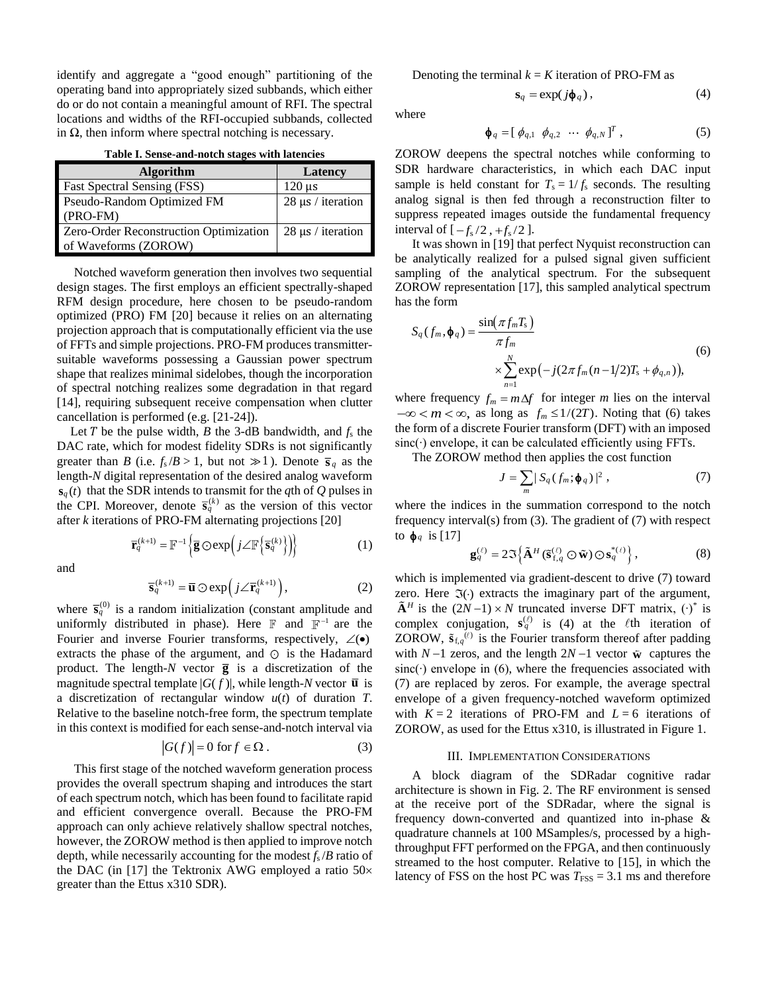identify and aggregate a "good enough" partitioning of the operating band into appropriately sized subbands, which either do or do not contain a meaningful amount of RFI. The spectral locations and widths of the RFI-occupied subbands, collected in Ω, then inform where spectral notching is necessary.

| Table I. Sense-and-notch stages with latencies |  |  |
|------------------------------------------------|--|--|
|------------------------------------------------|--|--|

| <b>Algorithm</b>                       | Latency                |
|----------------------------------------|------------------------|
| <b>Fast Spectral Sensing (FSS)</b>     | $120 \mu s$            |
| Pseudo-Random Optimized FM             | $28 \mu s$ / iteration |
| $(PRO-FM)$                             |                        |
| Zero-Order Reconstruction Optimization | $28 \mu s$ / iteration |
| of Waveforms (ZOROW)                   |                        |

Notched waveform generation then involves two sequential design stages. The first employs an efficient spectrally-shaped RFM design procedure, here chosen to be pseudo-random optimized (PRO) FM [20] because it relies on an alternating projection approach that is computationally efficient via the use of FFTs and simple projections. PRO-FM produces transmittersuitable waveforms possessing a Gaussian power spectrum shape that realizes minimal sidelobes, though the incorporation of spectral notching realizes some degradation in that regard [14], requiring subsequent receive compensation when clutter cancellation is performed (e.g. [21-24]).

Let  $T$  be the pulse width,  $B$  the 3-dB bandwidth, and  $f_s$  the DAC rate, which for modest fidelity SDRs is not significantly greater than *B* (i.e.  $f_s/B > 1$ , but not  $\gg 1$ ). Denote  $\bar{s}_q$  as the length-*N* digital representation of the desired analog waveform  $\mathbf{s}_q(t)$  that the SDR intends to transmit for the *q*th of *Q* pulses in the CPI. Moreover, denote  $\bar{\mathbf{s}}_q^{(k)}$  as the version of this vector after *k* iterations of PRO-FM alternating projections [20]

and

$$
\overline{\mathbf{r}}_q^{(k+1)} = \mathbb{F}^{-1} \left\{ \overline{\mathbf{g}} \odot \exp \left( j \angle \mathbb{F} \left\{ \overline{\mathbf{s}}_q^{(k)} \right\} \right) \right\}
$$
(1)

(1)

$$
\overline{\mathbf{s}}_q^{(k+1)} = \overline{\mathbf{u}} \odot \exp\left(j \angle \overline{\mathbf{r}}_q^{(k+1)}\right),\tag{2}
$$

where  $\bar{\mathbf{s}}_q^{(0)}$  is a random initialization (constant amplitude and uniformly distributed in phase). Here  $\mathbb F$  and  $\mathbb F^{-1}$  are the Fourier and inverse Fourier transforms, respectively,  $\angle$ ( $\bullet$ ) extracts the phase of the argument, and  $\odot$  is the Hadamard product. The length- $N$  vector  $\overline{g}$  is a discretization of the magnitude spectral template  $|G(f)|$ , while length-*N* vector  $\overline{u}$  is a discretization of rectangular window *u*(*t*) of duration *T*. Relative to the baseline notch-free form, the spectrum template in this context is modified for each sense-and-notch interval via

$$
|G(f)| = 0 \text{ for } f \in \Omega. \tag{3}
$$

This first stage of the notched waveform generation process provides the overall spectrum shaping and introduces the start of each spectrum notch, which has been found to facilitate rapid and efficient convergence overall. Because the PRO-FM approach can only achieve relatively shallow spectral notches, however, the ZOROW method is then applied to improve notch depth, while necessarily accounting for the modest *f*<sup>s</sup> /*B* ratio of the DAC (in [17] the Tektronix AWG employed a ratio  $50\times$ greater than the Ettus x310 SDR).

Denoting the terminal  $k = K$  iteration of PRO-FM as

$$
\mathbf{s}_q = \exp(j\mathbf{\phi}_q),\tag{4}
$$

where

$$
\boldsymbol{\phi}_q = [\phi_{q,1} \ \phi_{q,2} \ \cdots \ \phi_{q,N}]^T, \tag{5}
$$

ZOROW deepens the spectral notches while conforming to SDR hardware characteristics, in which each DAC input sample is held constant for  $T_s = 1/f_s$  seconds. The resulting analog signal is then fed through a reconstruction filter to suppress repeated images outside the fundamental frequency interval of  $[-f_s/2, +f_s/2]$ .

It was shown in [19] that perfect Nyquist reconstruction can be analytically realized for a pulsed signal given sufficient sampling of the analytical spectrum. For the subsequent ZOROW representation [17], this sampled analytical spectrum has the form

$$
S_q(f_m, \phi_q) = \frac{\sin(\pi f_m T_s)}{\pi f_m}
$$
  
\$\times \sum\_{n=1}^{N} \exp(-j(2\pi f\_m (n-1/2)T\_s + \phi\_{q,n})),\$ (6)\$

where frequency  $f_m = m\Delta f$  for integer *m* lies on the interval  $-\infty < m < \infty$ , as long as  $f_m \leq 1/(2T)$ . Noting that (6) takes the form of a discrete Fourier transform (DFT) with an imposed sinc(⋅) envelope, it can be calculated efficiently using FFTs.

The ZOROW method then applies the cost function

$$
J = \sum_{m} |S_q(f_m; \phi_q)|^2 , \qquad (7)
$$

where the indices in the summation correspond to the notch frequency interval(s) from (3). The gradient of (7) with respect to  $\phi_q$  is [17]

$$
\mathbf{g}_{q}^{(\ell)} = 2\Im\left\{\tilde{\mathbf{A}}^{H}(\tilde{\mathbf{s}}_{\text{f},q}^{(\ell)}\odot\tilde{\mathbf{w}})\odot\mathbf{s}_{q}^{*(\ell)}\right\},\tag{8}
$$

which is implemented via gradient-descent to drive (7) toward zero. Here  $\Im(\cdot)$  extracts the imaginary part of the argument,  $\tilde{A}$ <sup>*H*</sup> is the (2*N* −1) × *N* truncated inverse DFT matrix, (·)<sup>\*</sup> is complex conjugation,  $\mathbf{s}_q^{(\ell)}$  is (4) at the  $\ell$ th iteration of ZOROW,  $\tilde{\mathbf{s}}_{f,q}^{(\ell)}$  is the Fourier transform thereof after padding with  $N-1$  zeros, and the length  $2N-1$  vector  $\tilde{\mathbf{w}}$  captures the sinc(⋅) envelope in (6), where the frequencies associated with (7) are replaced by zeros. For example, the average spectral envelope of a given frequency-notched waveform optimized with  $K = 2$  iterations of PRO-FM and  $L = 6$  iterations of ZOROW, as used for the Ettus x310, is illustrated in Figure 1.

#### III. IMPLEMENTATION CONSIDERATIONS

A block diagram of the SDRadar cognitive radar architecture is shown in Fig. 2. The RF environment is sensed at the receive port of the SDRadar, where the signal is frequency down-converted and quantized into in-phase & quadrature channels at 100 MSamples/s, processed by a highthroughput FFT performed on the FPGA, and then continuously streamed to the host computer. Relative to [15], in which the latency of FSS on the host PC was  $T_{\text{FSS}} = 3.1 \text{ ms}$  and therefore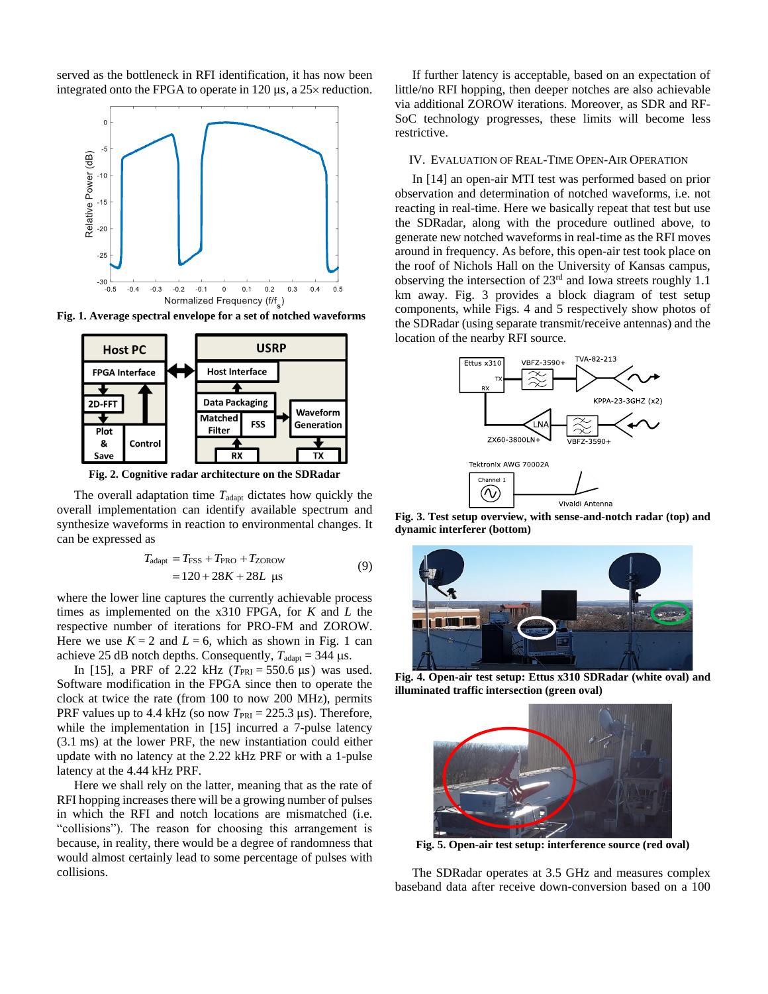served as the bottleneck in RFI identification, it has now been integrated onto the FPGA to operate in 120  $\mu$ s, a 25 $\times$  reduction.



**Fig. 1. Average spectral envelope for a set of notched waveforms**



**Fig. 2. Cognitive radar architecture on the SDRadar**

The overall adaptation time  $T_{\text{adapt}}$  dictates how quickly the overall implementation can identify available spectrum and synthesize waveforms in reaction to environmental changes. It can be expressed as

$$
T_{\text{adapt}} = T_{\text{FSS}} + T_{\text{PRO}} + T_{\text{ZOROW}}
$$
  
= 120 + 28K + 28L \text{ µs} (9)

where the lower line captures the currently achievable process times as implemented on the x310 FPGA, for *K* and *L* the respective number of iterations for PRO-FM and ZOROW. Here we use  $K = 2$  and  $L = 6$ , which as shown in Fig. 1 can achieve 25 dB notch depths. Consequently,  $T_{\text{adapt}} = 344 \text{ }\mu\text{s}$ .

In [15], a PRF of 2.22 kHz  $(T_{PRI} = 550.6 \,\mu s)$  was used. Software modification in the FPGA since then to operate the clock at twice the rate (from 100 to now 200 MHz), permits PRF values up to 4.4 kHz (so now  $T_{\text{PRI}} = 225.3 \text{ }\mu\text{s}$ ). Therefore, while the implementation in [15] incurred a 7-pulse latency (3.1 ms) at the lower PRF, the new instantiation could either update with no latency at the 2.22 kHz PRF or with a 1-pulse latency at the 4.44 kHz PRF.

Here we shall rely on the latter, meaning that as the rate of RFI hopping increases there will be a growing number of pulses in which the RFI and notch locations are mismatched (i.e. "collisions"). The reason for choosing this arrangement is because, in reality, there would be a degree of randomness that would almost certainly lead to some percentage of pulses with collisions.

If further latency is acceptable, based on an expectation of little/no RFI hopping, then deeper notches are also achievable via additional ZOROW iterations. Moreover, as SDR and RF-SoC technology progresses, these limits will become less restrictive.

### IV. EVALUATION OF REAL-TIME OPEN-AIR OPERATION

In [14] an open-air MTI test was performed based on prior observation and determination of notched waveforms, i.e. not reacting in real-time. Here we basically repeat that test but use the SDRadar, along with the procedure outlined above, to generate new notched waveforms in real-time as the RFI moves around in frequency. As before, this open-air test took place on the roof of Nichols Hall on the University of Kansas campus, observing the intersection of 23rd and Iowa streets roughly 1.1 km away. Fig. 3 provides a block diagram of test setup components, while Figs. 4 and 5 respectively show photos of the SDRadar (using separate transmit/receive antennas) and the location of the nearby RFI source.



**Fig. 3. Test setup overview, with sense-and-notch radar (top) and dynamic interferer (bottom)**



**Fig. 4. Open-air test setup: Ettus x310 SDRadar (white oval) and illuminated traffic intersection (green oval)**



**Fig. 5. Open-air test setup: interference source (red oval)**

The SDRadar operates at 3.5 GHz and measures complex baseband data after receive down-conversion based on a 100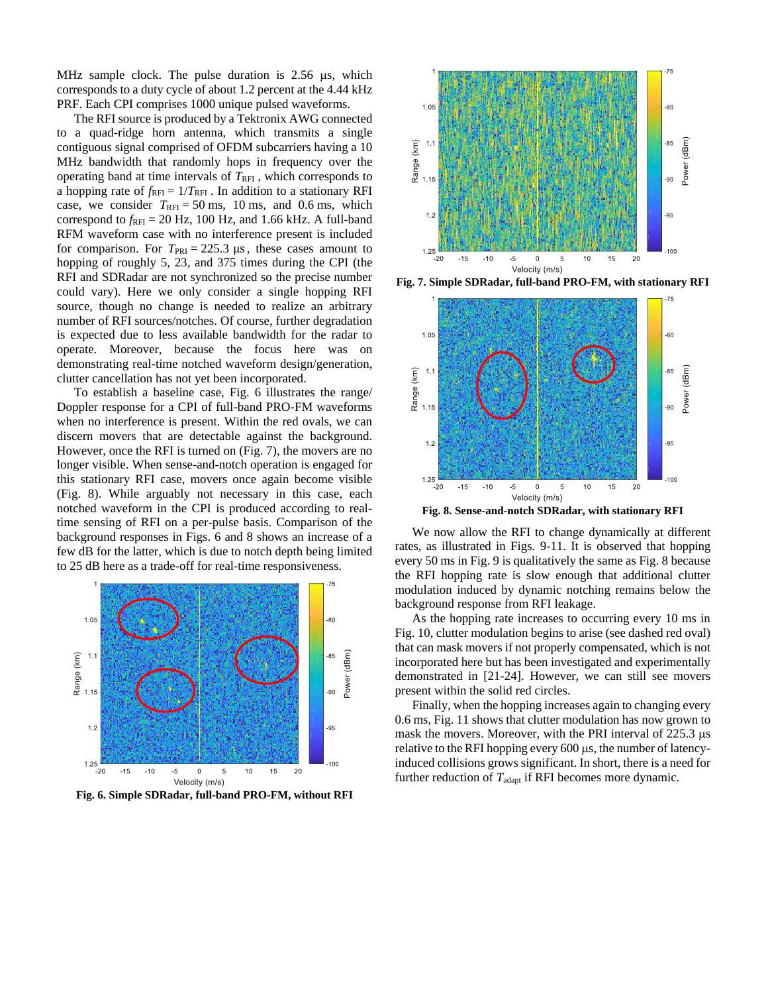MHz sample clock. The pulse duration is  $2.56 \mu s$ , which corresponds to a duty cycle of about 1.2 percent at the 4.44 kHz PRF. Each CPI comprises 1000 unique pulsed waveforms.

The RFI source is produced by a Tektronix AWG connected to a quad-ridge horn antenna, which transmits a single contiguous signal comprised of OFDM subcarriers having a 10 MHz bandwidth that randomly hops in frequency over the operating band at time intervals of  $T_{\text{RFI}}$ , which corresponds to a hopping rate of  $f_{\text{RFI}} = 1/T_{\text{RFI}}$ . In addition to a stationary RFI case, we consider  $T_{\text{RFI}} = 50 \text{ ms}$ , 10 ms, and 0.6 ms, which correspond to  $f_{\text{RFI}}$  = 20 Hz, 100 Hz, and 1.66 kHz. A full-band RFM waveform case with no interference present is included for comparison. For  $T_{\text{PRI}} = 225.3 \text{ }\mu\text{s}$ , these cases amount to hopping of roughly 5, 23, and 375 times during the CPI (the RFI and SDRadar are not synchronized so the precise number could vary). Here we only consider a single hopping RFI source, though no change is needed to realize an arbitrary number of RFI sources/notches. Of course, further degradation is expected due to less available bandwidth for the radar to operate. Moreover, because the focus here was on demonstrating real-time notched waveform design/generation, clutter cancellation has not yet been incorporated.

To establish a baseline case, Fig. 6 illustrates the range/ Doppler response for a CPI of full-band PRO-FM waveforms when no interference is present. Within the red ovals, we can discern movers that are detectable against the background. However, once the RFI is turned on (Fig. 7), the movers are no longer visible. When sense-and-notch operation is engaged for this stationary RFI case, movers once again become visible (Fig. 8). While arguably not necessary in this case, each notched waveform in the CPI is produced according to realtime sensing of RFI on a per-pulse basis. Comparison of the background responses in Figs. 6 and 8 shows an increase of a few dB for the latter, which is due to notch depth being limited to 25 dB here as a trade-off for real-time responsiveness.



**Fig. 6. Simple SDRadar, full-band PRO-FM, without RFI**



**Fig. 7. Simple SDRadar, full-band PRO-FM, with stationary RFI**



**Fig. 8. Sense-and-notch SDRadar, with stationary RFI**

We now allow the RFI to change dynamically at different rates, as illustrated in Figs. 9-11. It is observed that hopping every 50 ms in Fig. 9 is qualitatively the same as Fig. 8 because the RFI hopping rate is slow enough that additional clutter modulation induced by dynamic notching remains below the background response from RFI leakage.

As the hopping rate increases to occurring every 10 ms in Fig. 10, clutter modulation begins to arise (see dashed red oval) that can mask movers if not properly compensated, which is not incorporated here but has been investigated and experimentally demonstrated in [21-24]. However, we can still see movers present within the solid red circles.

Finally, when the hopping increases again to changing every 0.6 ms, Fig. 11 shows that clutter modulation has now grown to mask the movers. Moreover, with the PRI interval of  $225.3 \mu s$ relative to the RFI hopping every  $600 \mu s$ , the number of latencyinduced collisions grows significant. In short, there is a need for further reduction of  $T_{\text{adapt}}$  if RFI becomes more dynamic.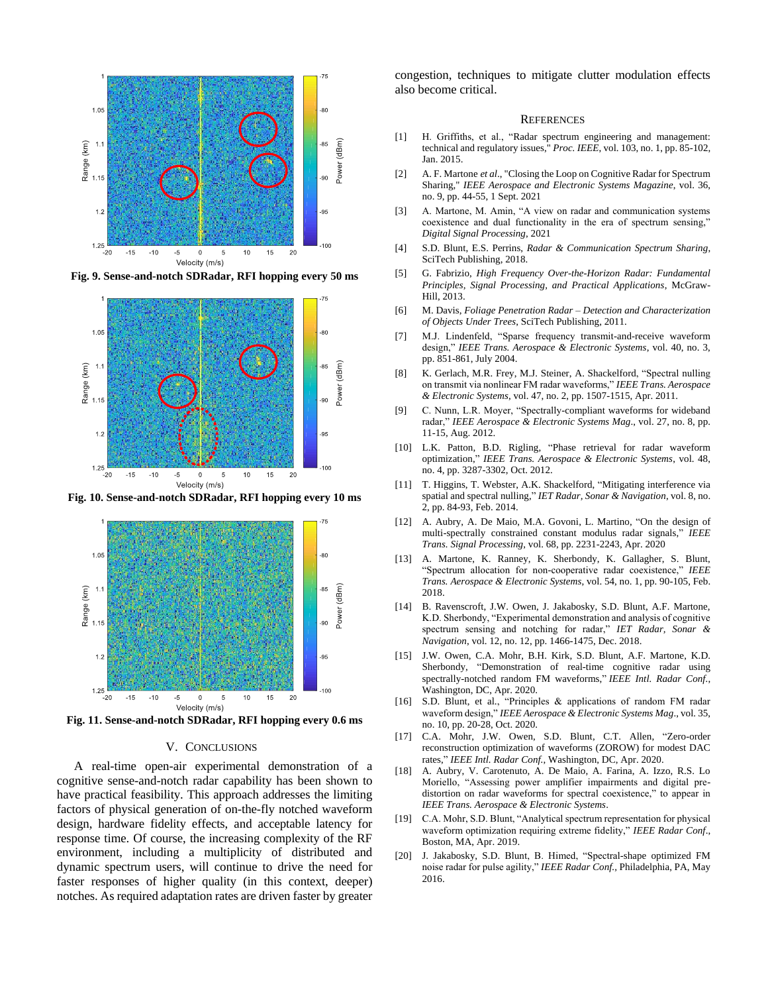

**Fig. 9. Sense-and-notch SDRadar, RFI hopping every 50 ms**



**Fig. 10. Sense-and-notch SDRadar, RFI hopping every 10 ms** 



**Fig. 11. Sense-and-notch SDRadar, RFI hopping every 0.6 ms** 

## V. CONCLUSIONS

A real-time open-air experimental demonstration of a cognitive sense-and-notch radar capability has been shown to have practical feasibility. This approach addresses the limiting factors of physical generation of on-the-fly notched waveform design, hardware fidelity effects, and acceptable latency for response time. Of course, the increasing complexity of the RF environment, including a multiplicity of distributed and dynamic spectrum users, will continue to drive the need for faster responses of higher quality (in this context, deeper) notches. As required adaptation rates are driven faster by greater congestion, techniques to mitigate clutter modulation effects also become critical.

#### **REFERENCES**

- [1] H. Griffiths, et al., "Radar spectrum engineering and management: technical and regulatory issues," *Proc. IEEE*, vol. 103, no. 1, pp. 85-102, Jan. 2015.
- [2] A. F. Martone *et al*., "Closing the Loop on Cognitive Radar for Spectrum Sharing," *IEEE Aerospace and Electronic Systems Magazine*, vol. 36, no. 9, pp. 44-55, 1 Sept. 2021
- [3] A. Martone, M. Amin, "A view on radar and communication systems coexistence and dual functionality in the era of spectrum sensing," *Digital Signal Processing*, 2021
- [4] S.D. Blunt, E.S. Perrins, *Radar & Communication Spectrum Sharing*, SciTech Publishing, 2018.
- [5] G. Fabrizio, *High Frequency Over-the-Horizon Radar: Fundamental Principles, Signal Processing, and Practical Applications*, McGraw-Hill, 2013.
- [6] M. Davis, *Foliage Penetration Radar – Detection and Characterization of Objects Under Trees*, SciTech Publishing, 2011.
- [7] M.J. Lindenfeld, "Sparse frequency transmit-and-receive waveform design," *IEEE Trans. Aerospace & Electronic Systems*, vol. 40, no. 3, pp. 851-861, July 2004.
- [8] K. Gerlach, M.R. Frey, M.J. Steiner, A. Shackelford, "Spectral nulling on transmit via nonlinear FM radar waveforms," *IEEE Trans. Aerospace & Electronic Systems*, vol. 47, no. 2, pp. 1507-1515, Apr. 2011.
- [9] C. Nunn, L.R. Moyer, "Spectrally-compliant waveforms for wideband radar," *IEEE Aerospace & Electronic Systems Mag*., vol. 27, no. 8, pp. 11-15, Aug. 2012.
- [10] L.K. Patton, B.D. Rigling, "Phase retrieval for radar waveform optimization," *IEEE Trans. Aerospace & Electronic Systems*, vol. 48, no. 4, pp. 3287-3302, Oct. 2012.
- [11] T. Higgins, T. Webster, A.K. Shackelford, "Mitigating interference via spatial and spectral nulling," *IET Radar, Sonar & Navigation*, vol. 8, no. 2, pp. 84-93, Feb. 2014.
- [12] A. Aubry, A. De Maio, M.A. Govoni, L. Martino, "On the design of multi-spectrally constrained constant modulus radar signals," *IEEE Trans. Signal Processing*, vol. 68, pp. 2231-2243, Apr. 2020
- [13] A. Martone, K. Ranney, K. Sherbondy, K. Gallagher, S. Blunt, "Spectrum allocation for non-cooperative radar coexistence," *IEEE Trans. Aerospace & Electronic Systems*, vol. 54, no. 1, pp. 90-105, Feb. 2018.
- [14] B. Ravenscroft, J.W. Owen, J. Jakabosky, S.D. Blunt, A.F. Martone, K.D. Sherbondy, "Experimental demonstration and analysis of cognitive spectrum sensing and notching for radar," *IET Radar, Sonar & Navigation*, vol. 12, no. 12, pp. 1466-1475, Dec. 2018.
- [15] J.W. Owen, C.A. Mohr, B.H. Kirk, S.D. Blunt, A.F. Martone, K.D. Sherbondy, "Demonstration of real-time cognitive radar using spectrally-notched random FM waveforms," *IEEE Intl. Radar Conf.*, Washington, DC, Apr. 2020.
- [16] S.D. Blunt, et al., "Principles & applications of random FM radar waveform design," *IEEE Aerospace & Electronic Systems Mag*., vol. 35, no. 10, pp. 20-28, Oct. 2020.
- [17] C.A. Mohr, J.W. Owen, S.D. Blunt, C.T. Allen, "Zero-order reconstruction optimization of waveforms (ZOROW) for modest DAC rates," *IEEE Intl. Radar Conf.*, Washington, DC, Apr. 2020.
- [18] A. Aubry, V. Carotenuto, A. De Maio, A. Farina, A. Izzo, R.S. Lo Moriello, "Assessing power amplifier impairments and digital predistortion on radar waveforms for spectral coexistence," to appear in *IEEE Trans. Aerospace & Electronic Systems*.
- [19] C.A. Mohr, S.D. Blunt, "Analytical spectrum representation for physical waveform optimization requiring extreme fidelity," *IEEE Radar Conf*., Boston, MA, Apr. 2019.
- [20] J. Jakabosky, S.D. Blunt, B. Himed, "Spectral-shape optimized FM noise radar for pulse agility," *IEEE Radar Conf.,* Philadelphia, PA, May 2016.